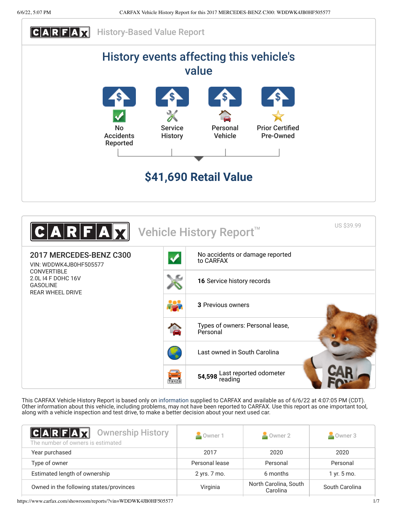



This CARFAX Vehicle History Report is based only on [information](http://www.carfax.com/company/vhr-data-sources) supplied to CARFAX and available as of 6/6/22 at 4:07:05 PM (CDT). Other information about this vehicle, including problems, may not have been reported to CARFAX. Use this report as one important tool, along with a vehicle inspection and test drive, to make a better decision about your next used car.

<span id="page-0-0"></span>

| <b>CARFAX</b> Ownership History<br>The number of owners is estimated | Owner 1        | Owner 2  | Owner 3        |
|----------------------------------------------------------------------|----------------|----------|----------------|
| Year purchased                                                       | 2017           | 2020     | 2020           |
| Type of owner                                                        | Personal lease | Personal | Personal       |
| Estimated length of ownership                                        | 2 yrs. 7 mo.   | 6 months | 1 yr. 5 mo.    |
| Owned in the following states/provinces                              | Virginia       |          | South Carolina |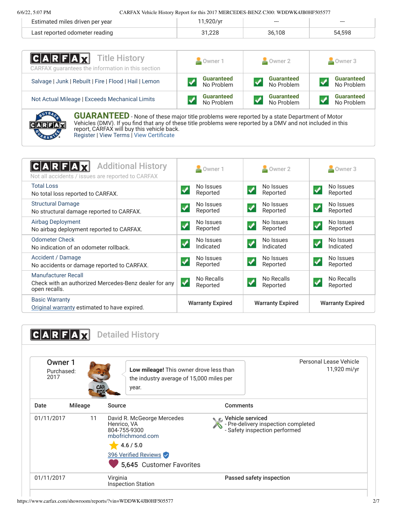6/6/22, 5:07 PM CARFAX Vehicle History Report for this 2017 MERCEDES-BENZ C300: WDDWK4JB0HF505577

| imated miles driven per vear   |     | $- - -$ | --- |
|--------------------------------|-----|---------|-----|
| Last reported odometer reading | ה ה |         |     |

| <b>CARFAX</b> Title History<br>CARFAX guarantees the information in this section | Owner 1           | Owner 2           | Owner 3           |  |
|----------------------------------------------------------------------------------|-------------------|-------------------|-------------------|--|
| Salvage   Junk   Rebuilt   Fire   Flood   Hail   Lemon                           | <b>Guaranteed</b> | <b>Guaranteed</b> | <b>Guaranteed</b> |  |
|                                                                                  | No Problem        | No Problem        | No Problem        |  |
| Not Actual Mileage   Exceeds Mechanical Limits                                   | <b>Guaranteed</b> | <b>Guaranteed</b> | <b>Guaranteed</b> |  |
|                                                                                  | No Problem        | No Problem        | No Problem        |  |
| <b>CONTRACTOR</b>                                                                |                   |                   |                   |  |



**GUARANTEED** - None of these major title problems were reported by a state Department of Motor Vehicles (DMV). If you find that any of these title problems were reported by a DMV and not included in this report, CARFAX will buy this vehicle back. [Register](https://www.carfax.com/Service/bbg) | [View Terms](https://www.carfax.com/company/carfax-buyback-guarantee-terms-and-conditions) | [View Certificate](https://www.carfax.com/showroom/reports/?vin=WDDWK4JB0HF505577)

<span id="page-1-0"></span>

| <b>Additional History</b><br>Not all accidents / issues are reported to CARFAX                       | Owner 1                                             | Owner 2                                             | Owner 3                                             |  |
|------------------------------------------------------------------------------------------------------|-----------------------------------------------------|-----------------------------------------------------|-----------------------------------------------------|--|
| <b>Total Loss</b><br>No total loss reported to CARFAX.                                               | No Issues<br>✔<br>Reported                          | No Issues<br>✔<br>Reported                          | No Issues<br>$\boldsymbol{J}$<br>Reported           |  |
| <b>Structural Damage</b><br>No structural damage reported to CARFAX.                                 | No Issues<br>$\blacktriangledown$<br>Reported       | No Issues<br>$\blacktriangledown$<br>Reported       | No Issues<br>$\blacktriangledown$<br>Reported       |  |
| Airbag Deployment<br>No airbag deployment reported to CARFAX.                                        | No Issues<br>$\boldsymbol{\mathcal{N}}$<br>Reported | No Issues<br>$\boldsymbol{\mathcal{L}}$<br>Reported | No Issues<br>$\boldsymbol{\mathcal{J}}$<br>Reported |  |
| <b>Odometer Check</b><br>No indication of an odometer rollback.                                      | No Issues<br>$\checkmark$<br>Indicated              | No Issues<br>✔<br>Indicated                         | No Issues<br>$\overline{\mathbf{v}}$<br>Indicated   |  |
| Accident / Damage<br>No accidents or damage reported to CARFAX.                                      | No Issues<br>$\blacktriangledown$<br>Reported       | No Issues<br>$\checkmark$<br>Reported               | No Issues<br>$\checkmark$<br>Reported               |  |
| <b>Manufacturer Recall</b><br>Check with an authorized Mercedes-Benz dealer for any<br>open recalls. | No Recalls<br>ᢦ<br>Reported                         | No Recalls<br>✔<br>Reported                         | No Recalls<br>✔<br>Reported                         |  |
| <b>Basic Warranty</b><br>Original warranty estimated to have expired.                                | <b>Warranty Expired</b>                             | <b>Warranty Expired</b>                             | <b>Warranty Expired</b>                             |  |

<span id="page-1-1"></span>

|                               |                   |                                                                                                                                                |                                                     | Personal Lease Vehicle              |
|-------------------------------|-------------------|------------------------------------------------------------------------------------------------------------------------------------------------|-----------------------------------------------------|-------------------------------------|
| Owner 1<br>Purchased:<br>2017 | <b>CAR</b><br>FOX | Low mileage! This owner drove less than<br>the industry average of 15,000 miles per<br>year.                                                   |                                                     | 11,920 mi/yr                        |
| Date                          | <b>Mileage</b>    | Source                                                                                                                                         | <b>Comments</b>                                     |                                     |
| 01/11/2017                    | 11                | David R. McGeorge Mercedes<br>Henrico, VA<br>804-755-9300<br>mbofrichmond.com<br>4.6 / 5.0<br>396 Verified Reviews<br>5,645 Customer Favorites | ← Vehicle serviced<br>- Safety inspection performed | - Pre-delivery inspection completed |
| 01/11/2017                    |                   | Virginia<br><b>Inspection Station</b>                                                                                                          | Passed safety inspection                            |                                     |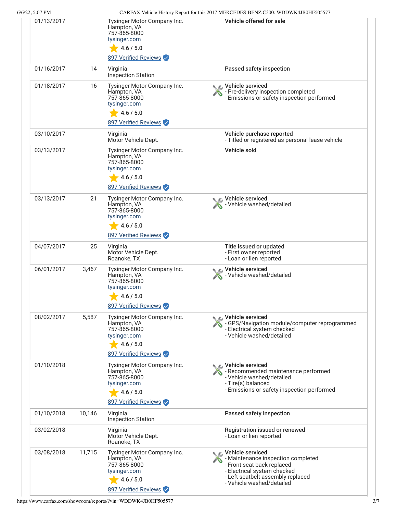| 6/6/22, 5:07 PM |        |                                                                                                                 | CARFAX Vehicle History Report for this 2017 MERCEDES-BENZ C300: WDDWK4JB0HF505577                                                                                                                |
|-----------------|--------|-----------------------------------------------------------------------------------------------------------------|--------------------------------------------------------------------------------------------------------------------------------------------------------------------------------------------------|
| 01/13/2017      |        | Tysinger Motor Company Inc.<br>Hampton, VA<br>757-865-8000<br>tysinger.com<br>4.6 / 5.0<br>897 Verified Reviews | Vehicle offered for sale                                                                                                                                                                         |
| 01/16/2017      | 14     | Virginia<br><b>Inspection Station</b>                                                                           | Passed safety inspection                                                                                                                                                                         |
| 01/18/2017      | 16     | Tysinger Motor Company Inc.<br>Hampton, VA<br>757-865-8000<br>tysinger.com<br>4.6 / 5.0<br>897 Verified Reviews | Vehicle serviced<br>- Pre-delivery inspection completed<br>- Emissions or safety inspection performed                                                                                            |
| 03/10/2017      |        | Virginia<br>Motor Vehicle Dept.                                                                                 | Vehicle purchase reported<br>- Titled or registered as personal lease vehicle                                                                                                                    |
| 03/13/2017      |        | Tysinger Motor Company Inc.<br>Hampton, VA<br>757-865-8000<br>tysinger.com<br>4.6 / 5.0<br>897 Verified Reviews | Vehicle sold                                                                                                                                                                                     |
| 03/13/2017      | 21     | Tysinger Motor Company Inc.<br>Hampton, VA<br>757-865-8000<br>tysinger.com<br>4.6 / 5.0<br>897 Verified Reviews | Vehicle serviced<br>- Vehicle washed/detailed                                                                                                                                                    |
| 04/07/2017      | 25     | Virginia<br>Motor Vehicle Dept.<br>Roanoke, TX                                                                  | Title issued or updated<br>- First owner reported<br>- Loan or lien reported                                                                                                                     |
| 06/01/2017      | 3,467  | Tysinger Motor Company Inc.<br>Hampton, VA<br>757-865-8000<br>tysinger.com<br>4.6 / 5.0<br>897 Verified Reviews | Vehicle serviced<br>Vehicle washed/detailed                                                                                                                                                      |
| 08/02/2017      | 5,587  | Tysinger Motor Company Inc.<br>Hampton, VA<br>757-865-8000<br>tysinger.com<br>4.6 / 5.0<br>897 Verified Reviews | <b>€</b> Vehicle serviced<br>- GPS/Navigation module/computer reprogrammed<br>- Electrical system checked<br>- Vehicle washed/detailed                                                           |
| 01/10/2018      |        | Tysinger Motor Company Inc.<br>Hampton, VA<br>757-865-8000<br>tysinger.com<br>4.6 / 5.0<br>897 Verified Reviews | C Vehicle serviced<br>- Recommended maintenance performed<br>- Vehicle washed/detailed<br>- Tire(s) balanced<br>- Emissions or safety inspection performed                                       |
| 01/10/2018      | 10,146 | Virginia<br><b>Inspection Station</b>                                                                           | Passed safety inspection                                                                                                                                                                         |
| 03/02/2018      |        | Virginia<br>Motor Vehicle Dept.<br>Roanoke, TX                                                                  | Registration issued or renewed<br>- Loan or lien reported                                                                                                                                        |
| 03/08/2018      | 11,715 | Tysinger Motor Company Inc.<br>Hampton, VA<br>757-865-8000<br>tysinger.com<br>4.6 / 5.0<br>897 Verified Reviews | $\epsilon$ Vehicle serviced<br>- Maintenance inspection completed<br>- Front seat back replaced<br>- Electrical system checked<br>- Left seatbelt assembly replaced<br>- Vehicle washed/detailed |

https://www.carfax.com/showroom/reports/?vin=WDDWK4JB0HF505577 3/7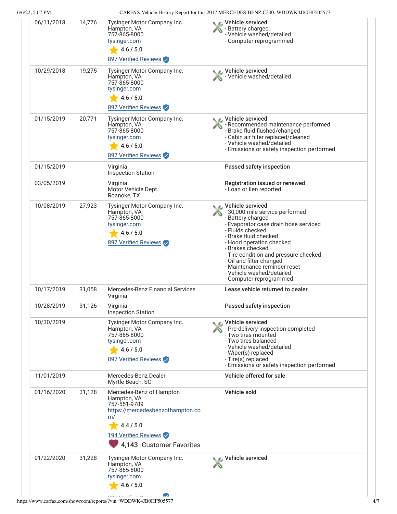6/6/22, 5:07 PM CARFAX Vehicle History Report for this 2017 MERCEDES-BENZ C300: WDDWK4JB0HF505577

|            |        |                                                                                                                                                                    | <u>WEITH WHICK HISTORY INCREDITION THIS ZONE INTENCEDED BEING COOP. HIS DEMINISHED ON A THEORY IS A T</u>                                                                                                                                                                                                                                                                     |
|------------|--------|--------------------------------------------------------------------------------------------------------------------------------------------------------------------|-------------------------------------------------------------------------------------------------------------------------------------------------------------------------------------------------------------------------------------------------------------------------------------------------------------------------------------------------------------------------------|
| 06/11/2018 | 14,776 | Tysinger Motor Company Inc.<br>Hampton, VA<br>757-865-8000<br>tysinger.com<br>4.6 / 5.0<br>897 Verified Reviews                                                    | C Vehicle serviced<br>- Battery charged<br>- Vehicle washed/detailed<br>- Computer reprogrammed                                                                                                                                                                                                                                                                               |
| 10/29/2018 | 19,275 | Tysinger Motor Company Inc.<br>Hampton, VA<br>757-865-8000<br>tysinger.com<br>4.6 / 5.0<br>897 Verified Reviews                                                    | Vehicle serviced<br>- Vehicle washed/detailed                                                                                                                                                                                                                                                                                                                                 |
| 01/15/2019 | 20,771 | Tysinger Motor Company Inc.<br>Hampton, VA<br>757-865-8000<br>tysinger.com<br>4.6 / 5.0<br>897 Verified Reviews                                                    | ic⊾ Vehicle serviced<br>- Recommended maintenance performed<br>- Brake fluid flushed/changed<br>- Cabin air filter replaced/cleaned<br>- Vehicle washed/detailed<br>- Emissions or safety inspection performed                                                                                                                                                                |
| 01/15/2019 |        | Virginia<br><b>Inspection Station</b>                                                                                                                              | Passed safety inspection                                                                                                                                                                                                                                                                                                                                                      |
| 03/05/2019 |        | Virginia<br>Motor Vehicle Dept.<br>Roanoke, TX                                                                                                                     | Registration issued or renewed<br>- Loan or lien reported                                                                                                                                                                                                                                                                                                                     |
| 10/08/2019 | 27,923 | Tysinger Motor Company Inc.<br>Hampton, VA<br>757-865-8000<br>tysinger.com<br>4.6 / 5.0<br>897 Verified Reviews                                                    | C Vehicle serviced<br>- 30,000 mile service performed<br>- Battery charged<br>- Evaporator case drain hose serviced<br>- Fluids checked<br>- Brake fluid checked<br>- Hood operation checked<br>- Brakes checked<br>- Tire condition and pressure checked<br>- Oil and filter changed<br>- Maintenance reminder reset<br>- Vehicle washed/detailed<br>- Computer reprogrammed |
| 10/17/2019 | 31,058 | Mercedes-Benz Financial Services<br>Virginia                                                                                                                       | Lease vehicle returned to dealer                                                                                                                                                                                                                                                                                                                                              |
| 10/28/2019 | 31,126 | Virginia<br><b>Inspection Station</b>                                                                                                                              | Passed safety inspection                                                                                                                                                                                                                                                                                                                                                      |
| 10/30/2019 |        | Tysinger Motor Company Inc.<br>Hampton, VA<br>757-865-8000<br>tysinger.com<br>4.6 / 5.0<br>897 Verified Reviews                                                    | C Vehicle serviced<br>- Pre-delivery inspection completed<br>- Two tires mounted<br>- Two tires balanced<br>- Vehicle washed/detailed<br>- Wiper(s) replaced<br>- Tire(s) replaced<br>- Emissions or safety inspection performed                                                                                                                                              |
| 11/01/2019 |        | Mercedes-Benz Dealer<br>Myrtle Beach, SC                                                                                                                           | Vehicle offered for sale                                                                                                                                                                                                                                                                                                                                                      |
| 01/16/2020 | 31,128 | Mercedes-Benz of Hampton<br>Hampton, VA<br>757-551-9789<br>https://mercedesbenzofhampton.co<br>m/<br>4.4 / 5.0<br>194 Verified Reviews<br>4,143 Customer Favorites | Vehicle sold                                                                                                                                                                                                                                                                                                                                                                  |
| 01/22/2020 | 31,228 | Tysinger Motor Company Inc.<br>Hampton, VA<br>757-865-8000<br>tysinger.com<br>4.6 / 5.0                                                                            | Vehicle serviced                                                                                                                                                                                                                                                                                                                                                              |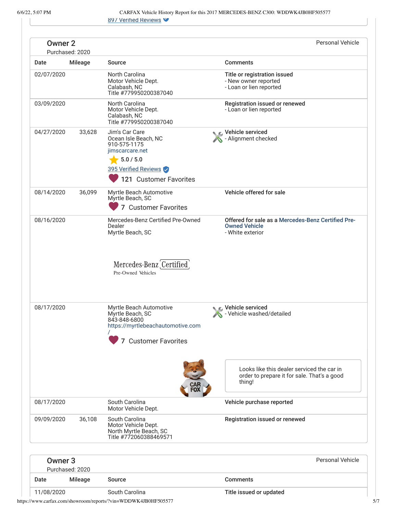6/6/22, 5:07 PM CARFAX Vehicle History Report for this 2017 MERCEDES-BENZ C300: WDDWK4JB0HF505577 897 Verified Reviews

|                                       | 897 Verified Reviews                                                                                                                     |                                                                                                     |
|---------------------------------------|------------------------------------------------------------------------------------------------------------------------------------------|-----------------------------------------------------------------------------------------------------|
| <b>Owner 2</b><br>Purchased: 2020     |                                                                                                                                          | <b>Personal Vehicle</b>                                                                             |
| <b>Mileage</b>                        | Source                                                                                                                                   | <b>Comments</b>                                                                                     |
| 02/07/2020                            | North Carolina<br>Motor Vehicle Dept.<br>Calabash, NC<br>Title #779950200387040                                                          | Title or registration issued<br>- New owner reported<br>- Loan or lien reported                     |
| 03/09/2020                            | North Carolina<br>Motor Vehicle Dept.<br>Calabash, NC<br>Title #779950200387040                                                          | Registration issued or renewed<br>- Loan or lien reported                                           |
| 04/27/2020<br>33,628                  | Jim's Car Care<br>Ocean Isle Beach, NC<br>910-575-1175<br>jimscarcare.net<br>5.0 / 5.0<br>395 Verified Reviews<br>121 Customer Favorites | Vehicle serviced<br>Alignment checked                                                               |
| 08/14/2020<br>36,099                  | Myrtle Beach Automotive<br>Myrtle Beach, SC<br>7 Customer Favorites                                                                      | Vehicle offered for sale                                                                            |
| 08/16/2020                            | Mercedes-Benz Certified Pre-Owned<br>Dealer<br>Myrtle Beach, SC                                                                          | Offered for sale as a Mercedes-Benz Certified Pre-<br><b>Owned Vehicle</b><br>- White exterior      |
|                                       | Mercedes-Benz Certified<br>Pre-Owned Vehicles                                                                                            |                                                                                                     |
| 08/17/2020                            | Myrtle Beach Automotive<br>Myrtle Beach, SC<br>843-848-6800<br>https://myrtlebeachautomotive.com<br>7 Customer Favorites                 | ► E. Vehicle serviced<br>- Vehicle washed/detailed                                                  |
|                                       |                                                                                                                                          | Looks like this dealer serviced the car in<br>order to prepare it for sale. That's a good<br>thing! |
| 08/17/2020                            | South Carolina<br>Motor Vehicle Dept.                                                                                                    | Vehicle purchase reported                                                                           |
| 09/09/2020<br>36,108                  | South Carolina<br>Motor Vehicle Dept.<br>North Myrtle Beach, SC<br>Title #772060388469571                                                | Registration issued or renewed                                                                      |
| Owner <sub>3</sub><br>Purchased: 2020 |                                                                                                                                          | <b>Personal Vehicle</b>                                                                             |
| <b>Mileage</b>                        | Source                                                                                                                                   | <b>Comments</b>                                                                                     |
| 11/08/2020                            | South Carolina                                                                                                                           | Title issued or updated                                                                             |
|                                       |                                                                                                                                          |                                                                                                     |

https://www.carfax.com/showroom/reports/?vin=WDDWK4JB0HF505577 5/7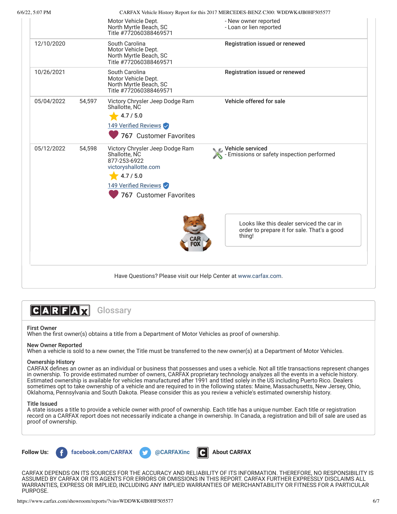| 6/6/22, 5:07 PM |        |                                                                                                                                                         | CARFAX Vehicle History Report for this 2017 MERCEDES-BENZ C300: WDDWK4JB0HF505577                   |
|-----------------|--------|---------------------------------------------------------------------------------------------------------------------------------------------------------|-----------------------------------------------------------------------------------------------------|
|                 |        | Motor Vehicle Dept.<br>North Myrtle Beach, SC<br>Title #772060388469571                                                                                 | - New owner reported<br>- Loan or lien reported                                                     |
| 12/10/2020      |        | South Carolina<br>Motor Vehicle Dept.<br>North Myrtle Beach, SC<br>Title #772060388469571                                                               | Registration issued or renewed                                                                      |
| 10/26/2021      |        | South Carolina<br>Motor Vehicle Dept.<br>North Myrtle Beach, SC<br>Title #772060388469571                                                               | Registration issued or renewed                                                                      |
| 05/04/2022      | 54,597 | Victory Chrysler Jeep Dodge Ram<br>Shallotte, NC<br>4.7 / 5.0<br>149 Verified Reviews<br><b>767 Customer Favorites</b>                                  | Vehicle offered for sale                                                                            |
| 05/12/2022      | 54,598 | Victory Chrysler Jeep Dodge Ram<br>Shallotte, NC<br>877-253-6922<br>victoryshallotte.com<br>4.7 / 5.0<br>149 Verified Reviews<br>767 Customer Favorites | C Vehicle serviced<br>Emissions or safety inspection performed                                      |
|                 |        |                                                                                                                                                         | Looks like this dealer serviced the car in<br>order to prepare it for sale. That's a good<br>thing! |
|                 |        | Have Questions? Please visit our Help Center at www.carfax.com.                                                                                         |                                                                                                     |



# First Owner

When the first owner(s) obtains a title from a Department of Motor Vehicles as proof of ownership.

## New Owner Reported

When a vehicle is sold to a new owner, the Title must be transferred to the new owner(s) at a Department of Motor Vehicles.

# Ownership History

CARFAX defines an owner as an individual or business that possesses and uses a vehicle. Not all title transactions represent changes in ownership. To provide estimated number of owners, CARFAX proprietary technology analyzes all the events in a vehicle history. Estimated ownership is available for vehicles manufactured after 1991 and titled solely in the US including Puerto Rico. Dealers sometimes opt to take ownership of a vehicle and are required to in the following states: Maine, Massachusetts, New Jersey, Ohio, Oklahoma, Pennsylvania and South Dakota. Please consider this as you review a vehicle's estimated ownership history.

### Title Issued

A state issues a title to provide a vehicle owner with proof of ownership. Each title has a unique number. Each title or registration record on a CARFAX report does not necessarily indicate a change in ownership. In Canada, a registration and bill of sale are used as proof of ownership.



CARFAX DEPENDS ON ITS SOURCES FOR THE ACCURACY AND RELIABILITY OF ITS INFORMATION. THEREFORE, NO RESPONSIBILITY IS ASSUMED BY CARFAX OR ITS AGENTS FOR ERRORS OR OMISSIONS IN THIS REPORT. CARFAX FURTHER EXPRESSLY DISCLAIMS ALL WARRANTIES, EXPRESS OR IMPLIED, INCLUDING ANY IMPLIED WARRANTIES OF MERCHANTABILITY OR FITNESS FOR A PARTICULAR PURPOSE.